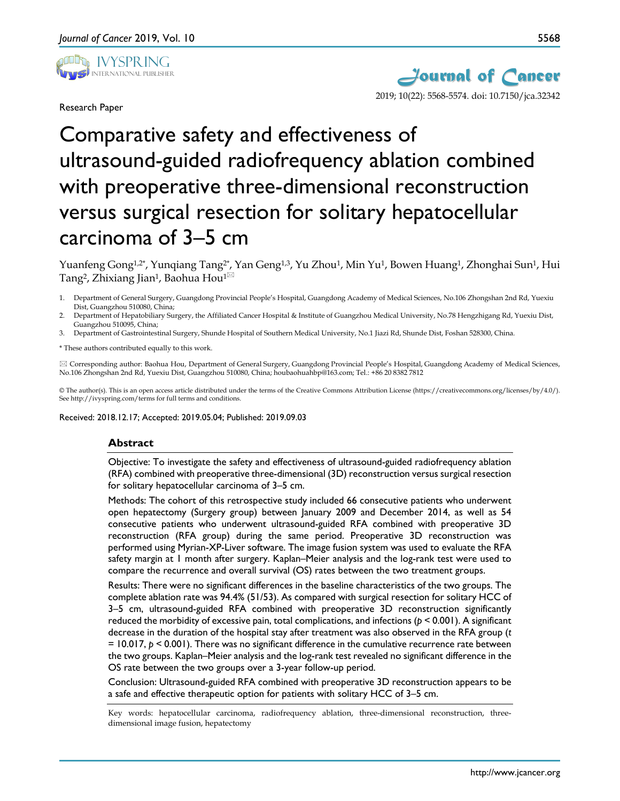

Research Paper



# Comparative safety and effectiveness of ultrasound-guided radiofrequency ablation combined with preoperative three-dimensional reconstruction versus surgical resection for solitary hepatocellular carcinoma of 3–5 cm

Yuanfeng Gong<sup>1,2\*</sup>, Yunqiang Tang<sup>2\*</sup>, Yan Geng<sup>1,3</sup>, Yu Zhou<sup>1</sup>, Min Yu<sup>1</sup>, Bowen Huang<sup>1</sup>, Zhonghai Sun<sup>1</sup>, Hui Tang<sup>2</sup>, Zhixiang Jian<sup>1</sup>, Baohua Hou<sup>1 $\boxtimes$ </sup>

1. Department of General Surgery, Guangdong Provincial People's Hospital, Guangdong Academy of Medical Sciences, No.106 Zhongshan 2nd Rd, Yuexiu Dist, Guangzhou 510080, China;

2. Department of Hepatobiliary Surgery, the Affiliated Cancer Hospital & Institute of Guangzhou Medical University, No.78 Hengzhigang Rd, Yuexiu Dist, Guangzhou 510095, China;

3. Department of Gastrointestinal Surgery, Shunde Hospital of Southern Medical University, No.1 Jiazi Rd, Shunde Dist, Foshan 528300, China.

\* These authors contributed equally to this work.

 Corresponding author: Baohua Hou, Department of General Surgery, Guangdong Provincial People's Hospital, Guangdong Academy of Medical Sciences, No.106 Zhongshan 2nd Rd, Yuexiu Dist, Guangzhou 510080, China; houbaohuahbp@163.com; Tel.: +86 20 8382 7812

© The author(s). This is an open access article distributed under the terms of the Creative Commons Attribution License (https://creativecommons.org/licenses/by/4.0/). See http://ivyspring.com/terms for full terms and conditions.

Received: 2018.12.17; Accepted: 2019.05.04; Published: 2019.09.03

#### **Abstract**

Objective: To investigate the safety and effectiveness of ultrasound-guided radiofrequency ablation (RFA) combined with preoperative three-dimensional (3D) reconstruction versus surgical resection for solitary hepatocellular carcinoma of 3–5 cm.

Methods: The cohort of this retrospective study included 66 consecutive patients who underwent open hepatectomy (Surgery group) between January 2009 and December 2014, as well as 54 consecutive patients who underwent ultrasound-guided RFA combined with preoperative 3D reconstruction (RFA group) during the same period. Preoperative 3D reconstruction was performed using Myrian-XP-Liver software. The image fusion system was used to evaluate the RFA safety margin at 1 month after surgery. Kaplan–Meier analysis and the log-rank test were used to compare the recurrence and overall survival (OS) rates between the two treatment groups.

Results: There were no significant differences in the baseline characteristics of the two groups. The complete ablation rate was 94.4% (51/53). As compared with surgical resection for solitary HCC of 3–5 cm, ultrasound-guided RFA combined with preoperative 3D reconstruction significantly reduced the morbidity of excessive pain, total complications, and infections (*p* < 0.001). A significant decrease in the duration of the hospital stay after treatment was also observed in the RFA group (*t*  $= 10.017$ ,  $p < 0.001$ ). There was no significant difference in the cumulative recurrence rate between the two groups. Kaplan–Meier analysis and the log-rank test revealed no significant difference in the OS rate between the two groups over a 3-year follow-up period.

Conclusion: Ultrasound-guided RFA combined with preoperative 3D reconstruction appears to be a safe and effective therapeutic option for patients with solitary HCC of 3–5 cm.

Key words: hepatocellular carcinoma, radiofrequency ablation, three-dimensional reconstruction, threedimensional image fusion, hepatectomy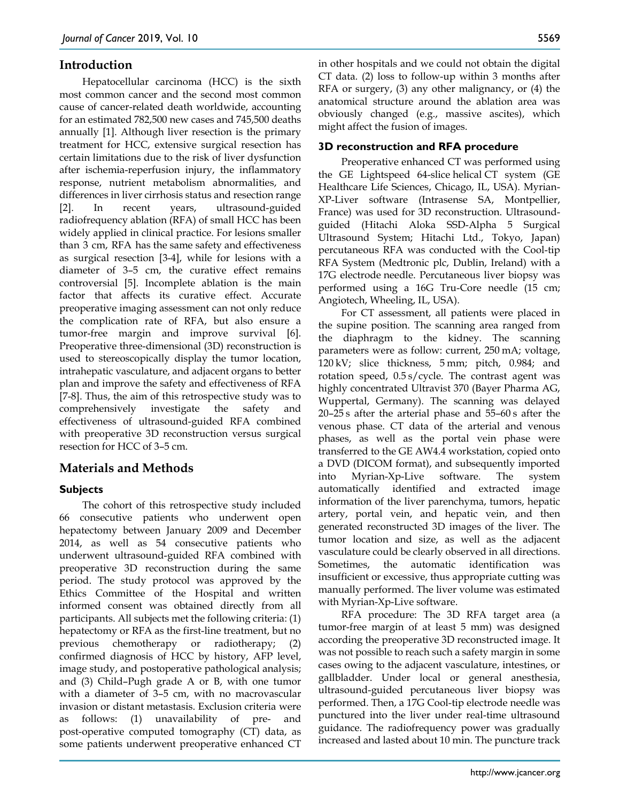## **Introduction**

Hepatocellular carcinoma (HCC) is the sixth most common cancer and the second most common cause of cancer-related death worldwide, accounting for an estimated 782,500 new cases and 745,500 deaths annually [1]. Although liver resection is the primary treatment for HCC, extensive surgical resection has certain limitations due to the risk of liver dysfunction after ischemia-reperfusion injury, the inflammatory response, nutrient metabolism abnormalities, and differences in liver cirrhosis status and resection range [2]. In recent years, ultrasound-guided radiofrequency ablation (RFA) of small HCC has been widely applied in clinical practice. For lesions smaller than 3 cm, RFA has the same safety and effectiveness as surgical resection [3-4], while for lesions with a diameter of 3–5 cm, the curative effect remains controversial [5]. Incomplete ablation is the main factor that affects its curative effect. Accurate preoperative imaging assessment can not only reduce the complication rate of RFA, but also ensure a tumor-free margin and improve survival [6]. Preoperative three-dimensional (3D) reconstruction is used to stereoscopically display the tumor location, intrahepatic vasculature, and adjacent organs to better plan and improve the safety and effectiveness of RFA [7-8]. Thus, the aim of this retrospective study was to comprehensively investigate the safety and effectiveness of ultrasound-guided RFA combined with preoperative 3D reconstruction versus surgical resection for HCC of 3–5 cm.

## **Materials and Methods**

## **Subjects**

The cohort of this retrospective study included 66 consecutive patients who underwent open hepatectomy between January 2009 and December 2014, as well as 54 consecutive patients who underwent ultrasound-guided RFA combined with preoperative 3D reconstruction during the same period. The study protocol was approved by the Ethics Committee of the Hospital and written informed consent was obtained directly from all participants. All subjects met the following criteria: (1) hepatectomy or RFA as the first-line treatment, but no previous chemotherapy or radiotherapy; (2) confirmed diagnosis of HCC by history, AFP level, image study, and postoperative pathological analysis; and (3) Child–Pugh grade A or B, with one tumor with a diameter of 3–5 cm, with no macrovascular invasion or distant metastasis. Exclusion criteria were as follows: (1) unavailability of pre- and post-operative computed tomography (CT) data, as some patients underwent preoperative enhanced CT

in other hospitals and we could not obtain the digital CT data. (2) loss to follow-up within 3 months after RFA or surgery, (3) any other malignancy, or (4) the anatomical structure around the ablation area was obviously changed (e.g., massive ascites), which might affect the fusion of images.

### **3D reconstruction and RFA procedure**

Preoperative enhanced CT was performed using the GE Lightspeed 64-slice helical CT system (GE Healthcare Life Sciences, Chicago, IL, USA). Myrian-XP-Liver software (Intrasense SA, Montpellier, France) was used for 3D reconstruction. Ultrasoundguided (Hitachi Aloka SSD-Alpha 5 Surgical Ultrasound System; Hitachi Ltd., Tokyo, Japan) percutaneous RFA was conducted with the Cool-tip RFA System (Medtronic plc, Dublin, Ireland) with a 17G electrode needle. Percutaneous liver biopsy was performed using a 16G Tru-Core needle (15 cm; Angiotech, Wheeling, IL, USA).

For CT assessment, all patients were placed in the supine position. The scanning area ranged from the diaphragm to the kidney. The scanning parameters were as follow: current, 250 mA; voltage, 120 kV; slice thickness, 5 mm; pitch, 0.984; and rotation speed, 0.5 s/cycle. The contrast agent was highly concentrated Ultravist 370 (Bayer Pharma AG, Wuppertal, Germany). The scanning was delayed 20–25 s after the arterial phase and 55–60 s after the venous phase. CT data of the arterial and venous phases, as well as the portal vein phase were transferred to the GE AW4.4 workstation, copied onto a DVD (DICOM format), and subsequently imported into Myrian-Xp-Live software. The system automatically identified and extracted image information of the liver parenchyma, tumors, hepatic artery, portal vein, and hepatic vein, and then generated reconstructed 3D images of the liver. The tumor location and size, as well as the adjacent vasculature could be clearly observed in all directions. Sometimes, the automatic identification was insufficient or excessive, thus appropriate cutting was manually performed. The liver volume was estimated with Myrian-Xp-Live software.

RFA procedure: The 3D RFA target area (a tumor-free margin of at least 5 mm) was designed according the preoperative 3D reconstructed image. It was not possible to reach such a safety margin in some cases owing to the adjacent vasculature, intestines, or gallbladder. Under local or general anesthesia, ultrasound-guided percutaneous liver biopsy was performed. Then, a 17G Cool-tip electrode needle was punctured into the liver under real-time ultrasound guidance. The radiofrequency power was gradually increased and lasted about 10 min. The puncture track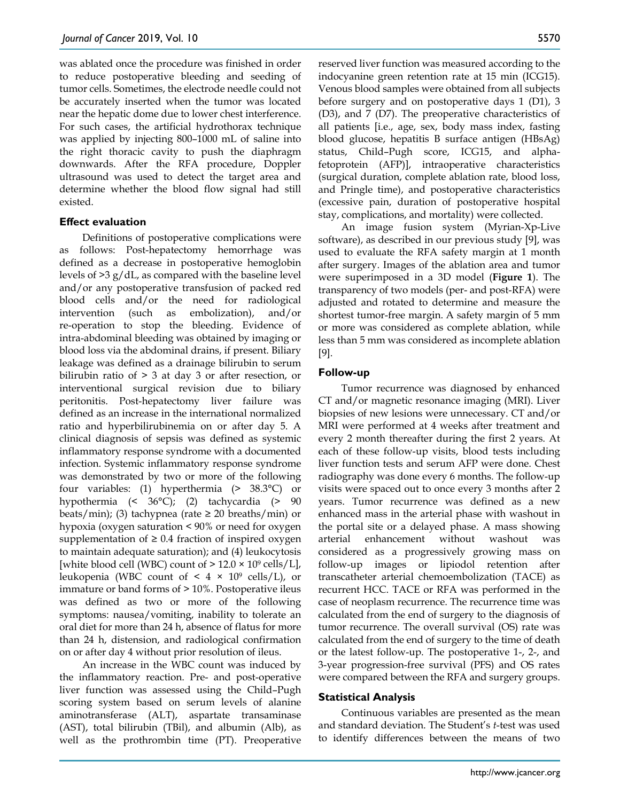was ablated once the procedure was finished in order to reduce postoperative bleeding and seeding of tumor cells. Sometimes, the electrode needle could not be accurately inserted when the tumor was located near the hepatic dome due to lower chest interference. For such cases, the artificial hydrothorax technique was applied by injecting 800–1000 mL of saline into the right thoracic cavity to push the diaphragm downwards. After the RFA procedure, Doppler ultrasound was used to detect the target area and determine whether the blood flow signal had still existed.

#### **Effect evaluation**

Definitions of postoperative complications were as follows: Post-hepatectomy hemorrhage was defined as a decrease in postoperative hemoglobin levels of  $>3 g/dL$ , as compared with the baseline level and/or any postoperative transfusion of packed red blood cells and/or the need for radiological intervention (such as embolization), and/or re-operation to stop the bleeding. Evidence of intra-abdominal bleeding was obtained by imaging or blood loss via the abdominal drains, if present. Biliary leakage was defined as a drainage bilirubin to serum bilirubin ratio of > 3 at day 3 or after resection, or interventional surgical revision due to biliary peritonitis. Post-hepatectomy liver failure was defined as an increase in the international normalized ratio and hyperbilirubinemia on or after day 5. A clinical diagnosis of sepsis was defined as systemic inflammatory response syndrome with a documented infection. Systemic inflammatory response syndrome was demonstrated by two or more of the following four variables: (1) hyperthermia (> 38.3°C) or hypothermia (< 36°C); (2) tachycardia (> 90 beats/min); (3) tachypnea (rate  $\geq$  20 breaths/min) or hypoxia (oxygen saturation < 90% or need for oxygen supplementation of  $\geq 0.4$  fraction of inspired oxygen to maintain adequate saturation); and (4) leukocytosis [white blood cell (WBC) count of  $> 12.0 \times 10^9$  cells/L], leukopenia (WBC count of  $\leq 4 \times 10^9$  cells/L), or immature or band forms of > 10%. Postoperative ileus was defined as two or more of the following symptoms: nausea/vomiting, inability to tolerate an oral diet for more than 24 h, absence of flatus for more than 24 h, distension, and radiological confirmation on or after day 4 without prior resolution of ileus.

An increase in the WBC count was induced by the inflammatory reaction. Pre- and post-operative liver function was assessed using the Child–Pugh scoring system based on serum levels of alanine aminotransferase (ALT), aspartate transaminase (AST), total bilirubin (TBil), and albumin (Alb), as well as the prothrombin time (PT). Preoperative

reserved liver function was measured according to the indocyanine green retention rate at 15 min (ICG15). Venous blood samples were obtained from all subjects before surgery and on postoperative days 1 (D1), 3 (D3), and 7 (D7). The preoperative characteristics of all patients [i.e., age, sex, body mass index, fasting blood glucose, hepatitis B surface antigen (HBsAg) status, Child–Pugh score, ICG15, and alphafetoprotein (AFP)], intraoperative characteristics (surgical duration, complete ablation rate, blood loss, and Pringle time), and postoperative characteristics (excessive pain, duration of postoperative hospital stay, complications, and mortality) were collected.

An image fusion system (Myrian-Xp-Live software), as described in our previous study [9], was used to evaluate the RFA safety margin at 1 month after surgery. Images of the ablation area and tumor were superimposed in a 3D model (**Figure 1**). The transparency of two models (per- and post-RFA) were adjusted and rotated to determine and measure the shortest tumor-free margin. A safety margin of 5 mm or more was considered as complete ablation, while less than 5 mm was considered as incomplete ablation [9].

#### **Follow-up**

Tumor recurrence was diagnosed by enhanced CT and/or magnetic resonance imaging (MRI). Liver biopsies of new lesions were unnecessary. CT and/or MRI were performed at 4 weeks after treatment and every 2 month thereafter during the first 2 years. At each of these follow-up visits, blood tests including liver function tests and serum AFP were done. Chest radiography was done every 6 months. The follow-up visits were spaced out to once every 3 months after 2 years. Tumor recurrence was defined as a new enhanced mass in the arterial phase with washout in the portal site or a delayed phase. A mass showing arterial enhancement without washout was considered as a progressively growing mass on follow-up images or lipiodol retention after transcatheter arterial chemoembolization (TACE) as recurrent HCC. TACE or RFA was performed in the case of neoplasm recurrence. The recurrence time was calculated from the end of surgery to the diagnosis of tumor recurrence. The overall survival (OS) rate was calculated from the end of surgery to the time of death or the latest follow-up. The postoperative 1-, 2-, and 3-year progression-free survival (PFS) and OS rates were compared between the RFA and surgery groups.

#### **Statistical Analysis**

Continuous variables are presented as the mean and standard deviation. The Student's *t*-test was used to identify differences between the means of two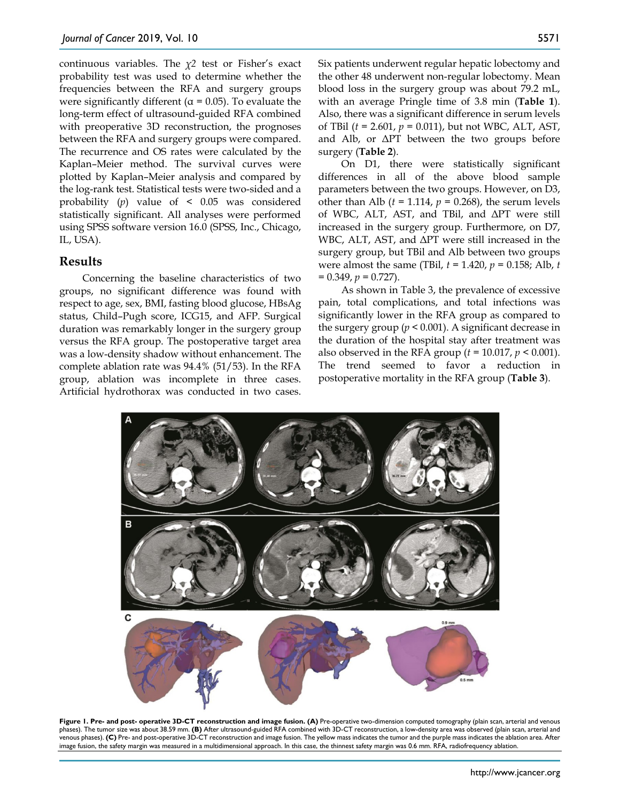continuous variables. The *χ2* test or Fisher's exact probability test was used to determine whether the frequencies between the RFA and surgery groups were significantly different ( $\alpha$  = 0.05). To evaluate the long-term effect of ultrasound-guided RFA combined with preoperative 3D reconstruction, the prognoses between the RFA and surgery groups were compared. The recurrence and OS rates were calculated by the Kaplan–Meier method. The survival curves were plotted by Kaplan–Meier analysis and compared by the log-rank test. Statistical tests were two-sided and a probability (*p*) value of < 0.05 was considered statistically significant. All analyses were performed using SPSS software version 16.0 (SPSS, Inc., Chicago, IL, USA).

#### **Results**

Concerning the baseline characteristics of two groups, no significant difference was found with respect to age, sex, BMI, fasting blood glucose, HBsAg status, Child–Pugh score, ICG15, and AFP. Surgical duration was remarkably longer in the surgery group versus the RFA group. The postoperative target area was a low-density shadow without enhancement. The complete ablation rate was 94.4% (51/53). In the RFA group, ablation was incomplete in three cases. Artificial hydrothorax was conducted in two cases.

Six patients underwent regular hepatic lobectomy and the other 48 underwent non-regular lobectomy. Mean blood loss in the surgery group was about 79.2 mL, with an average Pringle time of 3.8 min (**Table 1**). Also, there was a significant difference in serum levels of TBil (*t* = 2.601, *p* = 0.011), but not WBC, ALT, AST, and Alb, or ΔPT between the two groups before surgery (**Table 2**).

On D1, there were statistically significant differences in all of the above blood sample parameters between the two groups. However, on D3, other than Alb  $(t = 1.114, p = 0.268)$ , the serum levels of WBC, ALT, AST, and TBil, and ΔPT were still increased in the surgery group. Furthermore, on D7, WBC, ALT, AST, and ΔPT were still increased in the surgery group, but TBil and Alb between two groups were almost the same (TBil, *t* = 1.420, *p* = 0.158; Alb, *t*  $= 0.349, p = 0.727$ .

As shown in Table 3, the prevalence of excessive pain, total complications, and total infections was significantly lower in the RFA group as compared to the surgery group ( $p < 0.001$ ). A significant decrease in the duration of the hospital stay after treatment was also observed in the RFA group (*t* = 10.017, *p* < 0.001). The trend seemed to favor a reduction in postoperative mortality in the RFA group (**Table 3**).



**Figure 1. Pre- and post- operative 3D-CT reconstruction and image fusion. (A)** Pre-operative two-dimension computed tomography (plain scan, arterial and venous phases). The tumor size was about 38.59 mm. **(B)** After ultrasound-guided RFA combined with 3D-CT reconstruction, a low-density area was observed (plain scan, arterial and venous phases). **(C)** Pre- and post-operative 3D-CT reconstruction and image fusion. The yellow mass indicates the tumor and the purple mass indicates the ablation area. After<br>image fusion, the safety margin was measured i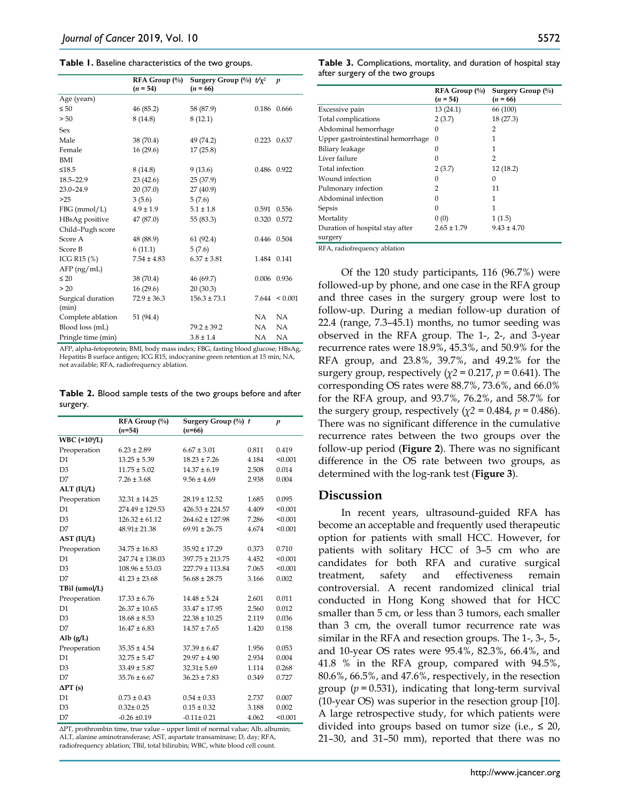#### **Table 1.** Baseline characteristics of the two groups.

|                            | RFA Group (%)   | Surgery Group $(\%)$ $t/x^2$ |             | p                  |
|----------------------------|-----------------|------------------------------|-------------|--------------------|
|                            | $(n = 54)$      | $(n = 66)$                   |             |                    |
| Age (years)                |                 |                              |             |                    |
| $\leq 50$                  | 46 (85.2)       | 58 (87.9)                    | 0.186       | 0.666              |
| > 50                       | 8(14.8)         | 8(12.1)                      |             |                    |
| Sex                        |                 |                              |             |                    |
| Male                       | 38 (70.4)       | 49 (74.2)                    |             | 0.223 0.637        |
| Female                     | 16(29.6)        | 17(25.8)                     |             |                    |
| BMI                        |                 |                              |             |                    |
| $\leq 18.5$                | 8 (14.8)        | 9(13.6)                      |             | 0.486 0.922        |
| 18.5-22.9                  | 23(42.6)        | 25(37.9)                     |             |                    |
| $23.0 - 24.9$              | 20(37.0)        | 27 (40.9)                    |             |                    |
| >25                        | 3(5.6)          | 5(7.6)                       |             |                    |
| $FBG$ (mmol/L)             | $4.9 \pm 1.9$   | $5.1 \pm 1.8$                | 0.591       | 0.556              |
| HBsAg positive             | 47 (87.0)       | 55 (83.3)                    | 0.320       | 0.572              |
| Child-Pugh score           |                 |                              |             |                    |
| Score A                    | 48 (88.9)       | 61(92.4)                     | 0.446 0.504 |                    |
| Score B                    | 6(11.1)         | 5(7.6)                       |             |                    |
| ICG R <sub>15</sub> $(\%)$ | $7.54 \pm 4.83$ | $6.37 \pm 3.81$              | 1.484 0.141 |                    |
| $AFP$ (ng/mL)              |                 |                              |             |                    |
| $\leq 20$                  | 38 (70.4)       | 46 (69.7)                    | 0.006       | 0.936              |
| > 20                       | 16(29.6)        | 20(30.3)                     |             |                    |
| Surgical duration          | $72.9 \pm 36.3$ | $156.3 \pm 73.1$             |             | $7.644 \leq 0.001$ |
| (min)                      |                 |                              |             |                    |
| Complete ablation          | 51 (94.4)       |                              | NA.         | <b>NA</b>          |
| Blood loss (mL)            |                 | $79.2 \pm 39.2$              | NA          | <b>NA</b>          |
| Pringle time (min)         |                 | $3.8 \pm 1.4$                | NA          | NA                 |

AFP, alpha-fetoprotein; BMI, body mass index; FBG, fasting blood glucose; HBsAg, Hepatitis B surface antigen; ICG R15, indocyanine green retention at 15 min; NA, not available; RFA, radiofrequency ablation.

**Table 2.** Blood sample tests of the two groups before and after surgery.

|                   | RFA Group (%)       | Surgery Group $(\%)$ t |       | $\boldsymbol{p}$ |
|-------------------|---------------------|------------------------|-------|------------------|
|                   | $(n=54)$            | $(n=66)$               |       |                  |
| <b>WBC</b> (×10%) |                     |                        |       |                  |
| Preoperation      | $6.23 \pm 2.89$     | $6.67 \pm 3.01$        | 0.811 | 0.419            |
| D <sub>1</sub>    | $13.25 \pm 5.39$    | $18.23 \pm 7.26$       | 4.184 | < 0.001          |
| D3                | $11.75 \pm 5.02$    | $14.37 \pm 6.19$       | 2.508 | 0.014            |
| D7                | $7.26 \pm 3.68$     | $9.56 \pm 4.69$        | 2.938 | 0.004            |
| ALT (IU/L)        |                     |                        |       |                  |
| Preoperation      | $32.31 \pm 14.25$   | $28.19 \pm 12.52$      | 1.685 | 0.095            |
| D1                | $274.49 \pm 129.53$ | $426.53 \pm 224.57$    | 4.409 | < 0.001          |
| D <sub>3</sub>    | $126.32 \pm 61.12$  | $264.62 \pm 127.98$    | 7.286 | < 0.001          |
| D7                | 48.91±21.38         | $69.91 \pm 26.75$      | 4.674 | < 0.001          |
| AST (IU/L)        |                     |                        |       |                  |
| Preoperation      | $34.75 \pm 16.83$   | $35.92 \pm 17.29$      | 0.373 | 0.710            |
| D <sub>1</sub>    | $247.74 \pm 138.03$ | $397.75 \pm 213.75$    | 4.452 | < 0.001          |
| D3                | $108.96 \pm 53.03$  | $227.79 \pm 113.84$    | 7.065 | < 0.001          |
| D7                | $41.23 \pm 23.68$   | $56.68 \pm 28.75$      | 3.166 | 0.002            |
| TBil (umol/L)     |                     |                        |       |                  |
| Preoperation      | $17.33 \pm 6.76$    | $14.48 \pm 5.24$       | 2.601 | 0.011            |
| D <sub>1</sub>    | $26.37 \pm 10.65$   | $33.47 \pm 17.95$      | 2.560 | 0.012            |
| D <sub>3</sub>    | $18.68 \pm 8.53$    | $22.38 \pm 10.25$      | 2.119 | 0.036            |
| D7                | $16.47 \pm 6.83$    | $14.57 \pm 7.65$       | 1.420 | 0.158            |
| Alb $(g/L)$       |                     |                        |       |                  |
| Preoperation      | $35.35 \pm 4.54$    | $37.39 \pm 6.47$       | 1.956 | 0.053            |
| D <sub>1</sub>    | $32.75 \pm 5.47$    | $29.97 \pm 4.90$       | 2.934 | 0.004            |
| D <sub>3</sub>    | $33.49 \pm 5.87$    | $32.31 \pm 5.69$       | 1.114 | 0.268            |
| D7                | $35.76 \pm 6.67$    | $36.23 \pm 7.83$       | 0.349 | 0.727            |
| $\Delta PT$ (s)   |                     |                        |       |                  |
| D <sub>1</sub>    | $0.73 \pm 0.43$     | $0.54 \pm 0.33$        | 2.737 | 0.007            |
| D <sub>3</sub>    | $0.32 \pm 0.25$     | $0.15 \pm 0.32$        | 3.188 | 0.002            |
| D7                | $-0.26 \pm 0.19$    | $-0.11 \pm 0.21$       | 4.062 | < 0.001          |

ΔPT, prothrombin time, true value – upper limit of normal value; Alb, albumin; ALT, alanine aminotransferase; AST, aspartate transaminase; D, day; RFA, radiofrequency ablation; TBil, total bilirubin; WBC, white blood cell count.

| <b>Table 3.</b> Complications, mortality, and duration of hospital stay<br>after surgery of the two groups |  |  |                                    |                                                                     |
|------------------------------------------------------------------------------------------------------------|--|--|------------------------------------|---------------------------------------------------------------------|
|                                                                                                            |  |  | $(n = 54)$                         | RFA Group $\binom{0}{0}$ Surgery Group $\binom{0}{0}$<br>$(n = 66)$ |
|                                                                                                            |  |  | $\sim$ $\sim$ $\sim$ $\sim$ $\sim$ | $\sim$ $\sim$ $\sim$ $\sim$                                         |

|                                   | $(n = 54)$      | $(n = 66)$      |
|-----------------------------------|-----------------|-----------------|
| Excessive pain                    | 13(24.1)        | 66 (100)        |
| Total complications               | 2(3.7)          | 18 (27.3)       |
| Abdominal hemorrhage              | $\theta$        | 2               |
| Upper gastrointestinal hemorrhage | 0               |                 |
| Biliary leakage                   | 0               |                 |
| Liver failure                     |                 | 2               |
| Total infection                   | 2(3.7)          | 12(18.2)        |
| Wound infection                   | 0               | 0               |
| Pulmonary infection               | 2               | 11              |
| Abdominal infection               | 0               | 1               |
| Sepsis                            | 0               | 1               |
| Mortality                         | 0(0)            | 1(1.5)          |
| Duration of hospital stay after   | $2.65 \pm 1.79$ | $9.43 \pm 4.70$ |
| surgery                           |                 |                 |

RFA, radiofrequency ablation

Of the 120 study participants, 116 (96.7%) were followed-up by phone, and one case in the RFA group and three cases in the surgery group were lost to follow-up. During a median follow-up duration of 22.4 (range, 7.3–45.1) months, no tumor seeding was observed in the RFA group. The 1-, 2-, and 3-year recurrence rates were 18.9%, 45.3%, and 50.9% for the RFA group, and 23.8%, 39.7%, and 49.2% for the surgery group, respectively ( $\chi$ 2 = 0.217,  $p$  = 0.641). The corresponding OS rates were 88.7%, 73.6%, and 66.0% for the RFA group, and 93.7%, 76.2%, and 58.7% for the surgery group, respectively ( $\chi$ <sup>2</sup> = 0.484, *p* = 0.486). There was no significant difference in the cumulative recurrence rates between the two groups over the follow-up period (**Figure 2**). There was no significant difference in the OS rate between two groups, as determined with the log-rank test (**Figure 3**).

#### **Discussion**

In recent years, ultrasound-guided RFA has become an acceptable and frequently used therapeutic option for patients with small HCC. However, for patients with solitary HCC of 3–5 cm who are candidates for both RFA and curative surgical treatment, safety and effectiveness remain controversial. A recent randomized clinical trial conducted in Hong Kong showed that for HCC smaller than 5 cm, or less than 3 tumors, each smaller than 3 cm, the overall tumor recurrence rate was similar in the RFA and resection groups. The 1-, 3-, 5-, and 10-year OS rates were 95.4%, 82.3%, 66.4%, and 41.8 % in the RFA group, compared with 94.5%, 80.6%, 66.5%, and 47.6%, respectively, in the resection group  $(p = 0.531)$ , indicating that long-term survival (10-year OS) was superior in the resection group [10]. A large retrospective study, for which patients were divided into groups based on tumor size (i.e.,  $\leq 20$ , 21–30, and 31–50 mm), reported that there was no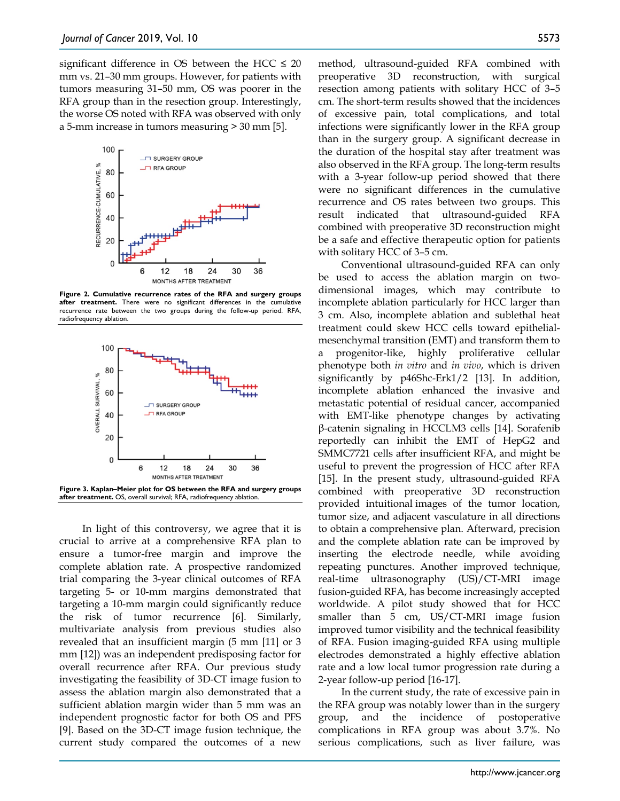significant difference in OS between the HCC  $\leq 20$ mm vs. 21–30 mm groups. However, for patients with tumors measuring 31–50 mm, OS was poorer in the RFA group than in the resection group. Interestingly, the worse OS noted with RFA was observed with only a 5-mm increase in tumors measuring > 30 mm [5].



**Figure 2. Cumulative recurrence rates of the RFA and surgery groups after treatment.** There were no significant differences in the cumulative recurrence rate between the two groups during the follow-up period. RFA, radiofrequency ablation.



In light of this controversy, we agree that it is crucial to arrive at a comprehensive RFA plan to ensure a tumor-free margin and improve the complete ablation rate. A prospective randomized trial comparing the 3-year clinical outcomes of RFA targeting 5- or 10-mm margins demonstrated that targeting a 10-mm margin could significantly reduce the risk of tumor recurrence [6]. Similarly, multivariate analysis from previous studies also revealed that an insufficient margin (5 mm [11] or 3 mm [12]) was an independent predisposing factor for overall recurrence after RFA. Our previous study investigating the feasibility of 3D-CT image fusion to assess the ablation margin also demonstrated that a sufficient ablation margin wider than 5 mm was an independent prognostic factor for both OS and PFS [9]. Based on the 3D-CT image fusion technique, the current study compared the outcomes of a new

method, ultrasound-guided RFA combined with preoperative 3D reconstruction, with surgical resection among patients with solitary HCC of 3–5 cm. The short-term results showed that the incidences of excessive pain, total complications, and total infections were significantly lower in the RFA group than in the surgery group. A significant decrease in the duration of the hospital stay after treatment was also observed in the RFA group. The long-term results with a 3-year follow-up period showed that there were no significant differences in the cumulative recurrence and OS rates between two groups. This result indicated that ultrasound-guided RFA combined with preoperative 3D reconstruction might be a safe and effective therapeutic option for patients with solitary HCC of 3–5 cm.

Conventional ultrasound-guided RFA can only be used to access the ablation margin on twodimensional images, which may contribute to incomplete ablation particularly for HCC larger than 3 cm. Also, incomplete ablation and sublethal heat treatment could skew HCC cells toward epithelialmesenchymal transition (EMT) and transform them to a progenitor-like, highly proliferative cellular phenotype both *in vitro* and *in vivo*, which is driven significantly by p46Shc-Erk1/2 [13]. In addition, incomplete ablation enhanced the invasive and metastatic potential of residual cancer, accompanied with EMT-like phenotype changes by activating β-catenin signaling in HCCLM3 cells [14]. Sorafenib reportedly can inhibit the EMT of HepG2 and SMMC7721 cells after insufficient RFA, and might be useful to prevent the progression of HCC after RFA [15]. In the present study, ultrasound-guided RFA combined with preoperative 3D reconstruction provided intuitional images of the tumor location, tumor size, and adjacent vasculature in all directions to obtain a comprehensive plan. Afterward, precision and the complete ablation rate can be improved by inserting the electrode needle, while avoiding repeating punctures. Another improved technique, real-time ultrasonography (US)/CT-MRI image fusion-guided RFA, has become increasingly accepted worldwide. A pilot study showed that for HCC smaller than 5 cm, US/CT-MRI image fusion improved tumor visibility and the technical feasibility of RFA. Fusion imaging-guided RFA using multiple electrodes demonstrated a highly effective ablation rate and a low local tumor progression rate during a 2-year follow-up period [16-17].

In the current study, the rate of excessive pain in the RFA group was notably lower than in the surgery group, and the incidence of postoperative complications in RFA group was about 3.7%. No serious complications, such as liver failure, was